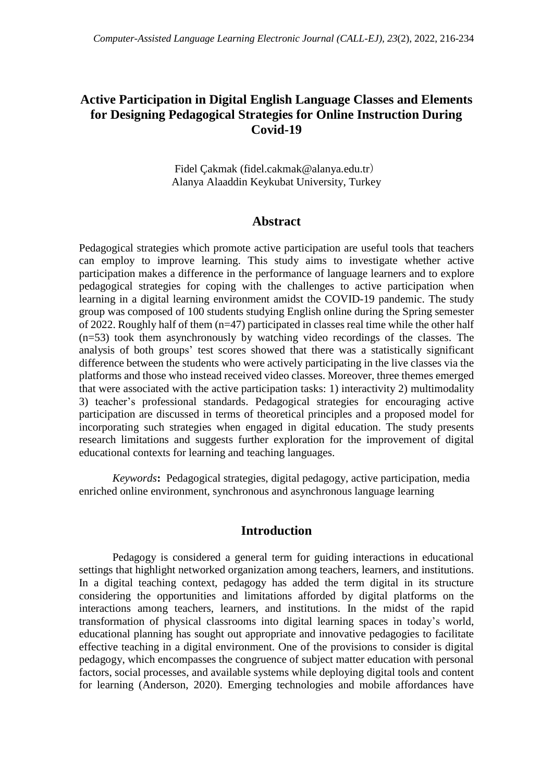# **Active Participation in Digital English Language Classes and Elements for Designing Pedagogical Strategies for Online Instruction During Covid-19**

Fidel Çakmak (fidel.cakmak@alanya.edu.tr) Alanya Alaaddin Keykubat University, Turkey

## **Abstract**

Pedagogical strategies which promote active participation are useful tools that teachers can employ to improve learning. This study aims to investigate whether active participation makes a difference in the performance of language learners and to explore pedagogical strategies for coping with the challenges to active participation when learning in a digital learning environment amidst the COVID-19 pandemic. The study group was composed of 100 students studying English online during the Spring semester of 2022. Roughly half of them (n=47) participated in classes real time while the other half (n=53) took them asynchronously by watching video recordings of the classes. The analysis of both groups' test scores showed that there was a statistically significant difference between the students who were actively participating in the live classes via the platforms and those who instead received video classes. Moreover, three themes emerged that were associated with the active participation tasks: 1) interactivity 2) multimodality 3) teacher's professional standards. Pedagogical strategies for encouraging active participation are discussed in terms of theoretical principles and a proposed model for incorporating such strategies when engaged in digital education. The study presents research limitations and suggests further exploration for the improvement of digital educational contexts for learning and teaching languages.

*Keywords***:** Pedagogical strategies, digital pedagogy, active participation, media enriched online environment, synchronous and asynchronous language learning

## **Introduction**

Pedagogy is considered a general term for guiding interactions in educational settings that highlight networked organization among teachers, learners, and institutions. In a digital teaching context, pedagogy has added the term digital in its structure considering the opportunities and limitations afforded by digital platforms on the interactions among teachers, learners, and institutions. In the midst of the rapid transformation of physical classrooms into digital learning spaces in today's world, educational planning has sought out appropriate and innovative pedagogies to facilitate effective teaching in a digital environment. One of the provisions to consider is digital pedagogy, which encompasses the congruence of subject matter education with personal factors, social processes, and available systems while deploying digital tools and content for learning (Anderson, 2020). Emerging technologies and mobile affordances have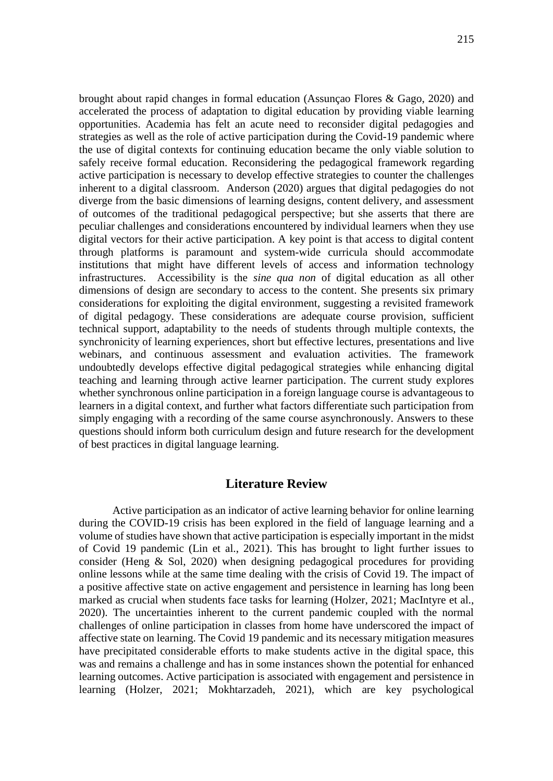brought about rapid changes in formal education (Assunçao Flores & Gago, 2020) and accelerated the process of adaptation to digital education by providing viable learning opportunities. Academia has felt an acute need to reconsider digital pedagogies and strategies as well as the role of active participation during the Covid-19 pandemic where the use of digital contexts for continuing education became the only viable solution to safely receive formal education. Reconsidering the pedagogical framework regarding active participation is necessary to develop effective strategies to counter the challenges inherent to a digital classroom. Anderson (2020) argues that digital pedagogies do not diverge from the basic dimensions of learning designs, content delivery, and assessment of outcomes of the traditional pedagogical perspective; but she asserts that there are peculiar challenges and considerations encountered by individual learners when they use digital vectors for their active participation. A key point is that access to digital content through platforms is paramount and system-wide curricula should accommodate institutions that might have different levels of access and information technology infrastructures. Accessibility is the *sine qua non* of digital education as all other dimensions of design are secondary to access to the content. She presents six primary considerations for exploiting the digital environment, suggesting a revisited framework of digital pedagogy. These considerations are adequate course provision, sufficient technical support, adaptability to the needs of students through multiple contexts, the synchronicity of learning experiences, short but effective lectures, presentations and live webinars, and continuous assessment and evaluation activities. The framework undoubtedly develops effective digital pedagogical strategies while enhancing digital teaching and learning through active learner participation. The current study explores whether synchronous online participation in a foreign language course is advantageous to learners in a digital context, and further what factors differentiate such participation from simply engaging with a recording of the same course asynchronously. Answers to these questions should inform both curriculum design and future research for the development of best practices in digital language learning.

## **Literature Review**

Active participation as an indicator of active learning behavior for online learning during the COVID-19 crisis has been explored in the field of language learning and a volume of studies have shown that active participation is especially important in the midst of Covid 19 pandemic (Lin et al., 2021). This has brought to light further issues to consider (Heng & Sol, 2020) when designing pedagogical procedures for providing online lessons while at the same time dealing with the crisis of Covid 19. The impact of a positive affective state on active engagement and persistence in learning has long been marked as crucial when students face tasks for learning (Holzer, 2021; MacIntyre et al., 2020). The uncertainties inherent to the current pandemic coupled with the normal challenges of online participation in classes from home have underscored the impact of affective state on learning. The Covid 19 pandemic and its necessary mitigation measures have precipitated considerable efforts to make students active in the digital space, this was and remains a challenge and has in some instances shown the potential for enhanced learning outcomes. Active participation is associated with engagement and persistence in learning (Holzer, 2021; Mokhtarzadeh, 2021), which are key psychological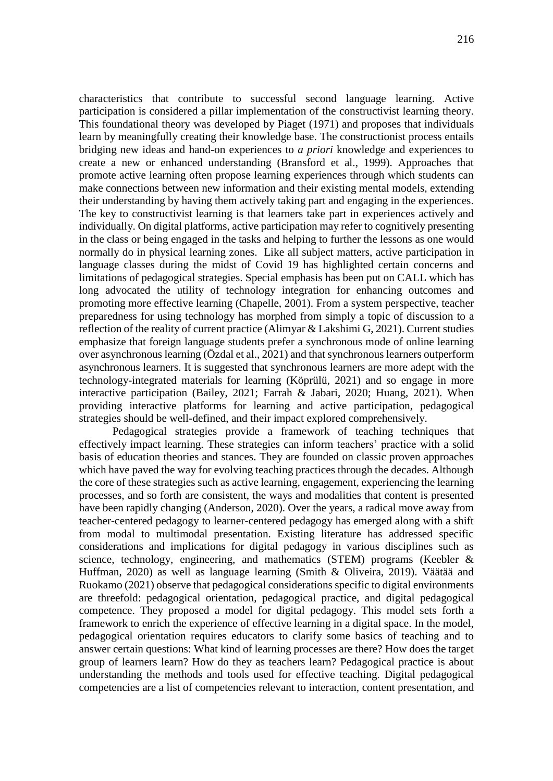characteristics that contribute to successful second language learning. Active participation is considered a pillar implementation of the constructivist learning theory. This foundational theory was developed by Piaget (1971) and proposes that individuals learn by meaningfully creating their knowledge base. The constructionist process entails bridging new ideas and hand-on experiences to *a priori* knowledge and experiences to create a new or enhanced understanding (Bransford et al., 1999). Approaches that promote active learning often propose learning experiences through which students can make connections between new information and their existing mental models, extending their understanding by having them actively taking part and engaging in the experiences. The key to constructivist learning is that learners take part in experiences actively and individually. On digital platforms, active participation may refer to cognitively presenting in the class or being engaged in the tasks and helping to further the lessons as one would normally do in physical learning zones. Like all subject matters, active participation in language classes during the midst of Covid 19 has highlighted certain concerns and limitations of pedagogical strategies. Special emphasis has been put on CALL which has long advocated the utility of technology integration for enhancing outcomes and promoting more effective learning (Chapelle, 2001). From a system perspective, teacher preparedness for using technology has morphed from simply a topic of discussion to a reflection of the reality of current practice (Alimyar & Lakshimi G, 2021). Current studies emphasize that foreign language students prefer a synchronous mode of online learning over asynchronous learning (Özdal et al., 2021) and that synchronous learners outperform asynchronous learners. It is suggested that synchronous learners are more adept with the technology-integrated materials for learning (Köprülü, 2021) and so engage in more interactive participation (Bailey, 2021; Farrah & Jabari, 2020; Huang, 2021). When providing interactive platforms for learning and active participation, pedagogical strategies should be well-defined, and their impact explored comprehensively.

Pedagogical strategies provide a framework of teaching techniques that effectively impact learning. These strategies can inform teachers' practice with a solid basis of education theories and stances. They are founded on classic proven approaches which have paved the way for evolving teaching practices through the decades. Although the core of these strategies such as active learning, engagement, experiencing the learning processes, and so forth are consistent, the ways and modalities that content is presented have been rapidly changing (Anderson, 2020). Over the years, a radical move away from teacher-centered pedagogy to learner-centered pedagogy has emerged along with a shift from modal to multimodal presentation. Existing literature has addressed specific considerations and implications for digital pedagogy in various disciplines such as science, technology, engineering, and mathematics (STEM) programs (Keebler & Huffman, 2020) as well as language learning (Smith & Oliveira, 2019). Väätää and Ruokamo (2021) observe that pedagogical considerations specific to digital environments are threefold: pedagogical orientation, pedagogical practice, and digital pedagogical competence. They proposed a model for digital pedagogy. This model sets forth a framework to enrich the experience of effective learning in a digital space. In the model, pedagogical orientation requires educators to clarify some basics of teaching and to answer certain questions: What kind of learning processes are there? How does the target group of learners learn? How do they as teachers learn? Pedagogical practice is about understanding the methods and tools used for effective teaching. Digital pedagogical competencies are a list of competencies relevant to interaction, content presentation, and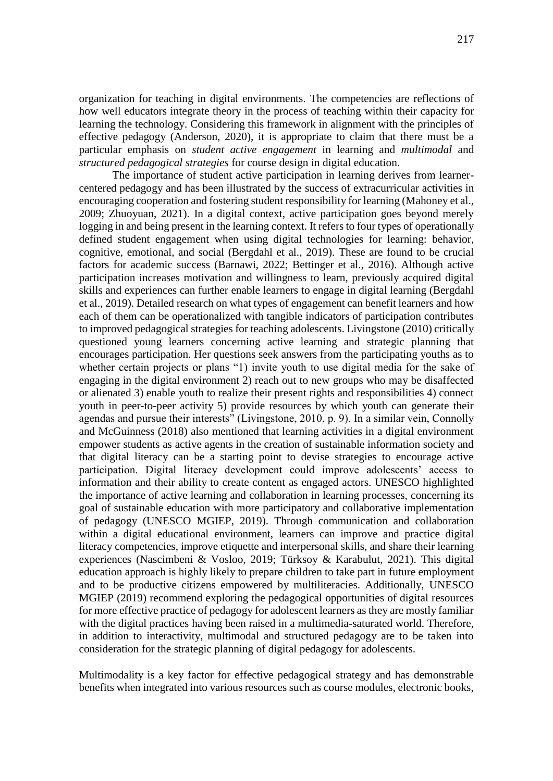organization for teaching in digital environments. The competencies are reflections of how well educators integrate theory in the process of teaching within their capacity for learning the technology. Considering this framework in alignment with the principles of effective pedagogy (Anderson, 2020), it is appropriate to claim that there must be a particular emphasis on *student active engagement* in learning and *multimodal* and *structured pedagogical strategies* for course design in digital education.

The importance of student active participation in learning derives from learnercentered pedagogy and has been illustrated by the success of extracurricular activities in encouraging cooperation and fostering student responsibility for learning (Mahoney et al., 2009; Zhuoyuan, 2021). In a digital context, active participation goes beyond merely logging in and being present in the learning context. It refers to four types of operationally defined student engagement when using digital technologies for learning: behavior, cognitive, emotional, and social (Bergdahl et al., 2019). These are found to be crucial factors for academic success (Barnawi, 2022; Bettinger et al., 2016). Although active participation increases motivation and willingness to learn, previously acquired digital skills and experiences can further enable learners to engage in digital learning (Bergdahl et al., 2019). Detailed research on what types of engagement can benefit learners and how each of them can be operationalized with tangible indicators of participation contributes to improved pedagogical strategies for teaching adolescents. Livingstone (2010) critically questioned young learners concerning active learning and strategic planning that encourages participation. Her questions seek answers from the participating youths as to whether certain projects or plans "1) invite youth to use digital media for the sake of engaging in the digital environment 2) reach out to new groups who may be disaffected or alienated 3) enable youth to realize their present rights and responsibilities 4) connect youth in peer-to-peer activity 5) provide resources by which youth can generate their agendas and pursue their interests" (Livingstone, 2010, p. 9). In a similar vein, Connolly and McGuinness (2018) also mentioned that learning activities in a digital environment empower students as active agents in the creation of sustainable information society and that digital literacy can be a starting point to devise strategies to encourage active participation. Digital literacy development could improve adolescents' access to information and their ability to create content as engaged actors. UNESCO highlighted the importance of active learning and collaboration in learning processes, concerning its goal of sustainable education with more participatory and collaborative implementation of pedagogy (UNESCO MGIEP, 2019). Through communication and collaboration within a digital educational environment, learners can improve and practice digital literacy competencies, improve etiquette and interpersonal skills, and share their learning experiences (Nascimbeni & Vosloo, 2019; Türksoy & Karabulut, 2021). This digital education approach is highly likely to prepare children to take part in future employment and to be productive citizens empowered by multiliteracies. Additionally, UNESCO MGIEP (2019) recommend exploring the pedagogical opportunities of digital resources for more effective practice of pedagogy for adolescent learners as they are mostly familiar with the digital practices having been raised in a multimedia-saturated world. Therefore, in addition to interactivity, multimodal and structured pedagogy are to be taken into consideration for the strategic planning of digital pedagogy for adolescents.

Multimodality is a key factor for effective pedagogical strategy and has demonstrable benefits when integrated into various resources such as course modules, electronic books,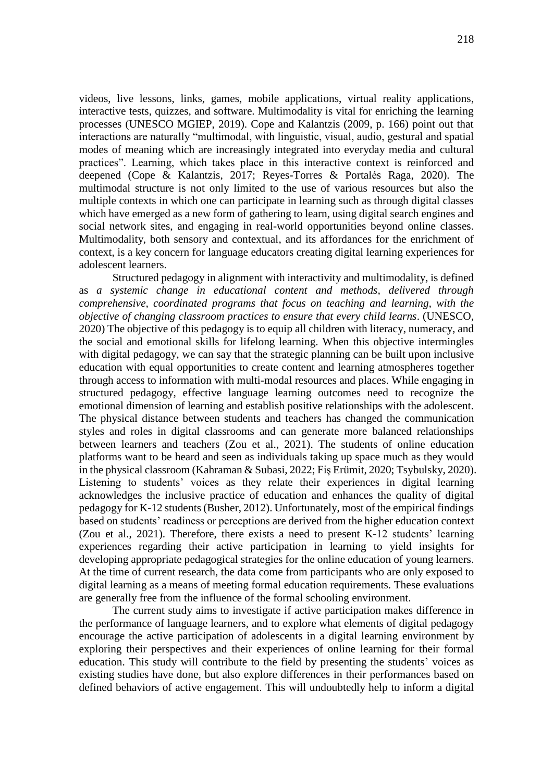videos, live lessons, links, games, mobile applications, virtual reality applications, interactive tests, quizzes, and software. Multimodality is vital for enriching the learning processes (UNESCO MGIEP, 2019). Cope and Kalantzis (2009, p. 166) point out that interactions are naturally "multimodal, with linguistic, visual, audio, gestural and spatial modes of meaning which are increasingly integrated into everyday media and cultural practices". Learning, which takes place in this interactive context is reinforced and deepened (Cope & Kalantzis, 2017; Reyes-Torres & Portalés Raga, 2020). The multimodal structure is not only limited to the use of various resources but also the multiple contexts in which one can participate in learning such as through digital classes which have emerged as a new form of gathering to learn, using digital search engines and social network sites, and engaging in real-world opportunities beyond online classes. Multimodality, both sensory and contextual, and its affordances for the enrichment of context, is a key concern for language educators creating digital learning experiences for adolescent learners.

Structured pedagogy in alignment with interactivity and multimodality, is defined as *a systemic change in educational content and methods, delivered through comprehensive, coordinated programs that focus on teaching and learning, with the objective of changing classroom practices to ensure that every child learns*. (UNESCO, 2020) The objective of this pedagogy is to equip all children with literacy, numeracy, and the social and emotional skills for lifelong learning. When this objective intermingles with digital pedagogy, we can say that the strategic planning can be built upon inclusive education with equal opportunities to create content and learning atmospheres together through access to information with multi-modal resources and places. While engaging in structured pedagogy, effective language learning outcomes need to recognize the emotional dimension of learning and establish positive relationships with the adolescent. The physical distance between students and teachers has changed the communication styles and roles in digital classrooms and can generate more balanced relationships between learners and teachers (Zou et al., 2021). The students of online education platforms want to be heard and seen as individuals taking up space much as they would in the physical classroom (Kahraman & Subasi, 2022; Fiş Erümit, 2020; Tsybulsky, 2020). Listening to students' voices as they relate their experiences in digital learning acknowledges the inclusive practice of education and enhances the quality of digital pedagogy for K-12 students (Busher, 2012). Unfortunately, most of the empirical findings based on students' readiness or perceptions are derived from the higher education context (Zou et al., 2021). Therefore, there exists a need to present K-12 students' learning experiences regarding their active participation in learning to yield insights for developing appropriate pedagogical strategies for the online education of young learners. At the time of current research, the data come from participants who are only exposed to digital learning as a means of meeting formal education requirements. These evaluations are generally free from the influence of the formal schooling environment.

The current study aims to investigate if active participation makes difference in the performance of language learners, and to explore what elements of digital pedagogy encourage the active participation of adolescents in a digital learning environment by exploring their perspectives and their experiences of online learning for their formal education. This study will contribute to the field by presenting the students' voices as existing studies have done, but also explore differences in their performances based on defined behaviors of active engagement. This will undoubtedly help to inform a digital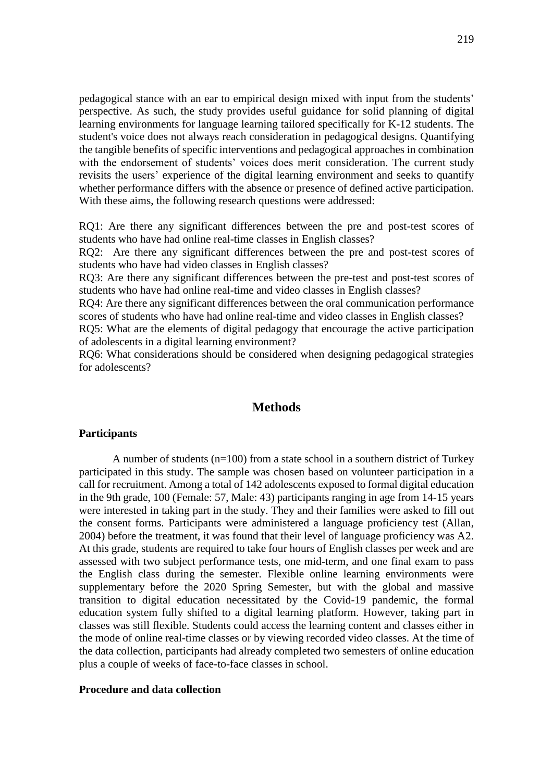pedagogical stance with an ear to empirical design mixed with input from the students' perspective. As such, the study provides useful guidance for solid planning of digital learning environments for language learning tailored specifically for K-12 students. The student's voice does not always reach consideration in pedagogical designs. Quantifying the tangible benefits of specific interventions and pedagogical approaches in combination with the endorsement of students' voices does merit consideration. The current study revisits the users' experience of the digital learning environment and seeks to quantify whether performance differs with the absence or presence of defined active participation. With these aims, the following research questions were addressed:

RQ1: Are there any significant differences between the pre and post-test scores of students who have had online real-time classes in English classes?

RQ2: Are there any significant differences between the pre and post-test scores of students who have had video classes in English classes?

RQ3: Are there any significant differences between the pre-test and post-test scores of students who have had online real-time and video classes in English classes?

RQ4: Are there any significant differences between the oral communication performance scores of students who have had online real-time and video classes in English classes?

RQ5: What are the elements of digital pedagogy that encourage the active participation of adolescents in a digital learning environment?

RQ6: What considerations should be considered when designing pedagogical strategies for adolescents?

## **Methods**

#### **Participants**

A number of students (n=100) from a state school in a southern district of Turkey participated in this study. The sample was chosen based on volunteer participation in a call for recruitment. Among a total of 142 adolescents exposed to formal digital education in the 9th grade, 100 (Female: 57, Male: 43) participants ranging in age from 14-15 years were interested in taking part in the study. They and their families were asked to fill out the consent forms. Participants were administered a language proficiency test (Allan, 2004) before the treatment, it was found that their level of language proficiency was A2. At this grade, students are required to take four hours of English classes per week and are assessed with two subject performance tests, one mid-term, and one final exam to pass the English class during the semester. Flexible online learning environments were supplementary before the 2020 Spring Semester, but with the global and massive transition to digital education necessitated by the Covid-19 pandemic, the formal education system fully shifted to a digital learning platform. However, taking part in classes was still flexible. Students could access the learning content and classes either in the mode of online real-time classes or by viewing recorded video classes. At the time of the data collection, participants had already completed two semesters of online education plus a couple of weeks of face-to-face classes in school.

### **Procedure and data collection**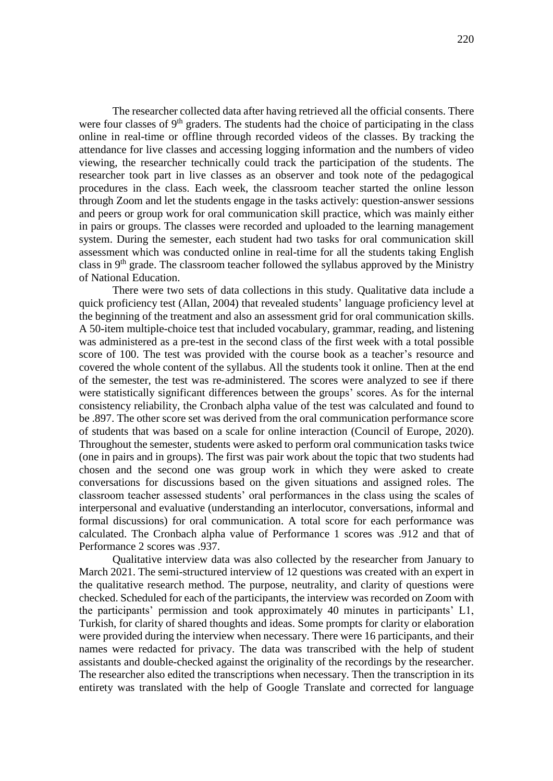The researcher collected data after having retrieved all the official consents. There were four classes of  $9<sup>th</sup>$  graders. The students had the choice of participating in the class online in real-time or offline through recorded videos of the classes. By tracking the attendance for live classes and accessing logging information and the numbers of video viewing, the researcher technically could track the participation of the students. The researcher took part in live classes as an observer and took note of the pedagogical procedures in the class. Each week, the classroom teacher started the online lesson through Zoom and let the students engage in the tasks actively: question-answer sessions and peers or group work for oral communication skill practice, which was mainly either in pairs or groups. The classes were recorded and uploaded to the learning management system. During the semester, each student had two tasks for oral communication skill assessment which was conducted online in real-time for all the students taking English class in 9<sup>th</sup> grade. The classroom teacher followed the syllabus approved by the Ministry of National Education.

There were two sets of data collections in this study. Qualitative data include a quick proficiency test (Allan, 2004) that revealed students' language proficiency level at the beginning of the treatment and also an assessment grid for oral communication skills. A 50-item multiple-choice test that included vocabulary, grammar, reading, and listening was administered as a pre-test in the second class of the first week with a total possible score of 100. The test was provided with the course book as a teacher's resource and covered the whole content of the syllabus. All the students took it online. Then at the end of the semester, the test was re-administered. The scores were analyzed to see if there were statistically significant differences between the groups' scores. As for the internal consistency reliability, the Cronbach alpha value of the test was calculated and found to be .897. The other score set was derived from the oral communication performance score of students that was based on a scale for online interaction (Council of Europe, 2020). Throughout the semester, students were asked to perform oral communication tasks twice (one in pairs and in groups). The first was pair work about the topic that two students had chosen and the second one was group work in which they were asked to create conversations for discussions based on the given situations and assigned roles. The classroom teacher assessed students' oral performances in the class using the scales of interpersonal and evaluative (understanding an interlocutor, conversations, informal and formal discussions) for oral communication. A total score for each performance was calculated. The Cronbach alpha value of Performance 1 scores was .912 and that of Performance 2 scores was .937.

Qualitative interview data was also collected by the researcher from January to March 2021. The semi-structured interview of 12 questions was created with an expert in the qualitative research method. The purpose, neutrality, and clarity of questions were checked. Scheduled for each of the participants, the interview was recorded on Zoom with the participants' permission and took approximately 40 minutes in participants' L1, Turkish, for clarity of shared thoughts and ideas. Some prompts for clarity or elaboration were provided during the interview when necessary. There were 16 participants, and their names were redacted for privacy. The data was transcribed with the help of student assistants and double-checked against the originality of the recordings by the researcher. The researcher also edited the transcriptions when necessary. Then the transcription in its entirety was translated with the help of Google Translate and corrected for language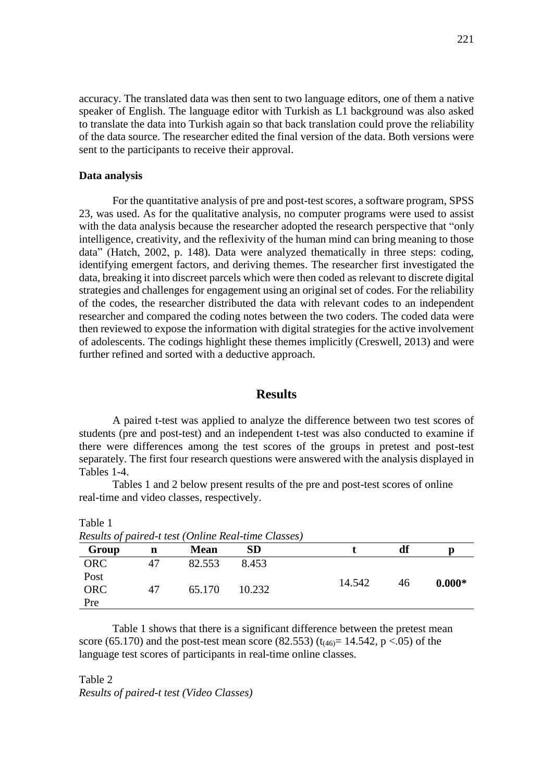accuracy. The translated data was then sent to two language editors, one of them a native speaker of English. The language editor with Turkish as L1 background was also asked to translate the data into Turkish again so that back translation could prove the reliability of the data source. The researcher edited the final version of the data. Both versions were sent to the participants to receive their approval.

#### **Data analysis**

Table 1

For the quantitative analysis of pre and post-test scores, a software program, SPSS 23, was used. As for the qualitative analysis, no computer programs were used to assist with the data analysis because the researcher adopted the research perspective that "only" intelligence, creativity, and the reflexivity of the human mind can bring meaning to those data" (Hatch, 2002, p. 148). Data were analyzed thematically in three steps: coding, identifying emergent factors, and deriving themes. The researcher first investigated the data, breaking it into discreet parcels which were then coded as relevant to discrete digital strategies and challenges for engagement using an original set of codes. For the reliability of the codes, the researcher distributed the data with relevant codes to an independent researcher and compared the coding notes between the two coders. The coded data were then reviewed to expose the information with digital strategies for the active involvement of adolescents. The codings highlight these themes implicitly (Creswell, 2013) and were further refined and sorted with a deductive approach.

### **Results**

A paired t-test was applied to analyze the difference between two test scores of students (pre and post-test) and an independent t-test was also conducted to examine if there were differences among the test scores of the groups in pretest and post-test separately. The first four research questions were answered with the analysis displayed in Tables 1-4.

Tables 1 and 2 below present results of the pre and post-test scores of online real-time and video classes, respectively.

| Results of paired-t test (Online Real-time Classes) |    |             |        |        |    |          |  |
|-----------------------------------------------------|----|-------------|--------|--------|----|----------|--|
| Group                                               | n  | <b>Mean</b> | SD     |        | df |          |  |
| <b>ORC</b>                                          | 47 | 82.553      | 8.453  |        |    |          |  |
| Post                                                |    |             |        | 14.542 | 46 | $0.000*$ |  |
| <b>ORC</b>                                          | 47 | 65.170      | 10.232 |        |    |          |  |
| Pre                                                 |    |             |        |        |    |          |  |

Table 1 shows that there is a significant difference between the pretest mean score (65.170) and the post-test mean score (82.553) ( $t_{(46)} = 14.542$ , p <.05) of the language test scores of participants in real-time online classes.

Table 2 *Results of paired-t test (Video Classes)*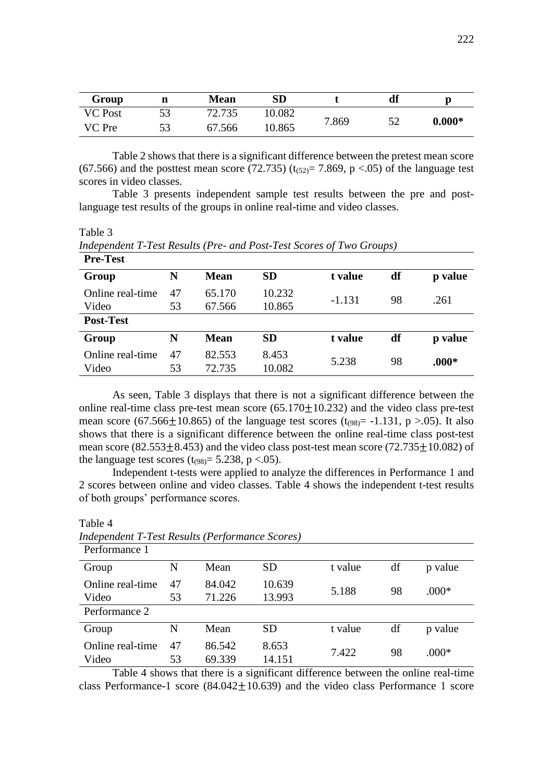| Group          | n  | <b>Mean</b> | ${\bf SD}$ |       | df  | Ŋ        |
|----------------|----|-------------|------------|-------|-----|----------|
| <b>VC</b> Post | 53 | 72.735      | 10.082     |       | 52  |          |
| VC Pre         | 53 | 67.566      | 10.865     | 7.869 | ے ر | $0.000*$ |

Table 2 shows that there is a significant difference between the pretest mean score (67.566) and the posttest mean score (72.735) ( $t_{(52)}$ = 7.869, p <.05) of the language test scores in video classes.

Table 3 presents independent sample test results between the pre and postlanguage test results of the groups in online real-time and video classes.

Table 3

Table 4

| <b>Pre-Test</b>  |    |             |           |          |    |         |
|------------------|----|-------------|-----------|----------|----|---------|
| Group            | N  | <b>Mean</b> | <b>SD</b> | t value  | df | p value |
| Online real-time | 47 | 65.170      | 10.232    | $-1.131$ | 98 | .261    |
| Video            | 53 | 67.566      | 10.865    |          |    |         |
| <b>Post-Test</b> |    |             |           |          |    |         |
| Group            | N  | <b>Mean</b> | <b>SD</b> | t value  | df | p value |
| Online real-time | 47 | 82.553      | 8.453     | 5.238    | 98 | $.000*$ |
| Video            | 53 | 72.735      | 10.082    |          |    |         |

*Independent T-Test Results (Pre- and Post-Test Scores of Two Groups)*

As seen, Table 3 displays that there is not a significant difference between the online real-time class pre-test mean score  $(65.170 \pm 10.232)$  and the video class pre-test mean score (67.566 $\pm$ 10.865) of the language test scores (t<sub>(98)</sub> = -1.131, p >.05). It also shows that there is a significant difference between the online real-time class post-test mean score (82.553 $\pm$ 8.453) and the video class post-test mean score (72.735 $\pm$ 10.082) of the language test scores ( $t_{(98)}$ = 5.238, p <.05).

Independent t-tests were applied to analyze the differences in Performance 1 and 2 scores between online and video classes. Table 4 shows the independent t-test results of both groups' performance scores.

|                           |          | $\cdot$          |                  |         |    |         |
|---------------------------|----------|------------------|------------------|---------|----|---------|
| Performance 1             |          |                  |                  |         |    |         |
| Group                     | N        | Mean             | SD               | t value | df | p value |
| Online real-time<br>Video | 47<br>53 | 84.042<br>71.226 | 10.639<br>13.993 | 5.188   | 98 | $.000*$ |
| Performance 2             |          |                  |                  |         |    |         |
| Group                     | N        | Mean             | <b>SD</b>        | t value | df | p value |
| Online real-time<br>Video | 47<br>53 | 86.542<br>69.339 | 8.653<br>14.151  | 7.422   | 98 | $.000*$ |

*Independent T-Test Results (Performance Scores)*

Table 4 shows that there is a significant difference between the online real-time class Performance-1 score  $(84.042+10.639)$  and the video class Performance 1 score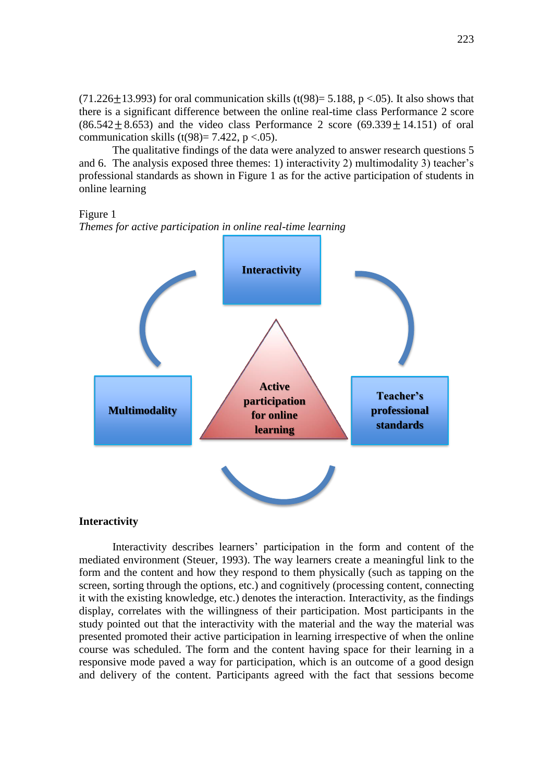$(71.226+13.993)$  for oral communication skills  $(t(98)= 5.188, p < 0.05)$ . It also shows that there is a significant difference between the online real-time class Performance 2 score  $(86.542 \pm 8.653)$  and the video class Performance 2 score  $(69.339 \pm 14.151)$  of oral communication skills (t(98)= 7.422, p <.05).

The qualitative findings of the data were analyzed to answer research questions 5 and 6. The analysis exposed three themes: 1) interactivity 2) multimodality 3) teacher's professional standards as shown in Figure 1 as for the active participation of students in online learning



*Themes for active participation in online real-time learning*



### **Interactivity**

Interactivity describes learners' participation in the form and content of the mediated environment (Steuer, 1993). The way learners create a meaningful link to the form and the content and how they respond to them physically (such as tapping on the screen, sorting through the options, etc.) and cognitively (processing content, connecting it with the existing knowledge, etc.) denotes the interaction. Interactivity, as the findings display, correlates with the willingness of their participation. Most participants in the study pointed out that the interactivity with the material and the way the material was presented promoted their active participation in learning irrespective of when the online course was scheduled. The form and the content having space for their learning in a responsive mode paved a way for participation, which is an outcome of a good design and delivery of the content. Participants agreed with the fact that sessions become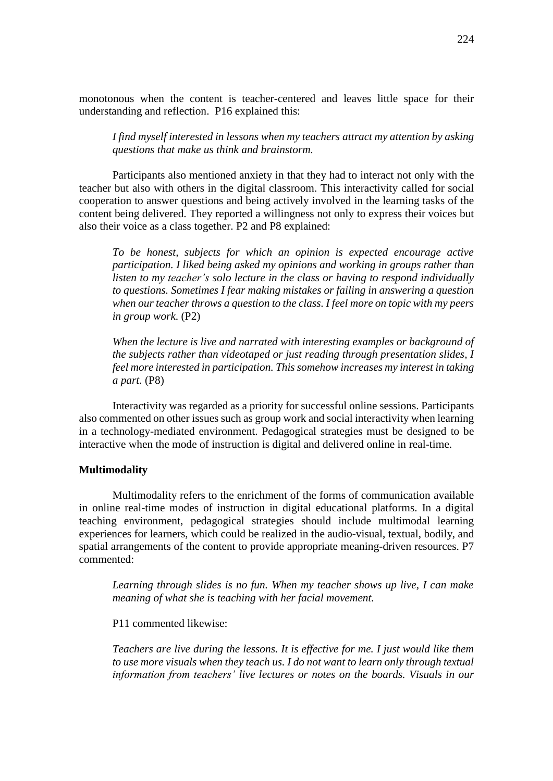monotonous when the content is teacher-centered and leaves little space for their understanding and reflection. P16 explained this:

*I find myself interested in lessons when my teachers attract my attention by asking questions that make us think and brainstorm.*

Participants also mentioned anxiety in that they had to interact not only with the teacher but also with others in the digital classroom. This interactivity called for social cooperation to answer questions and being actively involved in the learning tasks of the content being delivered. They reported a willingness not only to express their voices but also their voice as a class together. P2 and P8 explained:

*To be honest, subjects for which an opinion is expected encourage active participation. I liked being asked my opinions and working in groups rather than listen to my teacher's solo lecture in the class or having to respond individually to questions. Sometimes I fear making mistakes or failing in answering a question when our teacher throws a question to the class. I feel more on topic with my peers in group work*. (P2)

*When the lecture is live and narrated with interesting examples or background of the subjects rather than videotaped or just reading through presentation slides, I feel more interested in participation. This somehow increases my interest in taking a part.* (P8)

Interactivity was regarded as a priority for successful online sessions. Participants also commented on other issues such as group work and social interactivity when learning in a technology-mediated environment. Pedagogical strategies must be designed to be interactive when the mode of instruction is digital and delivered online in real-time.

#### **Multimodality**

Multimodality refers to the enrichment of the forms of communication available in online real-time modes of instruction in digital educational platforms. In a digital teaching environment, pedagogical strategies should include multimodal learning experiences for learners, which could be realized in the audio-visual, textual, bodily, and spatial arrangements of the content to provide appropriate meaning-driven resources. P7 commented:

*Learning through slides is no fun. When my teacher shows up live, I can make meaning of what she is teaching with her facial movement.* 

P11 commented likewise:

*Teachers are live during the lessons. It is effective for me. I just would like them to use more visuals when they teach us. I do not want to learn only through textual information from teachers' live lectures or notes on the boards. Visuals in our*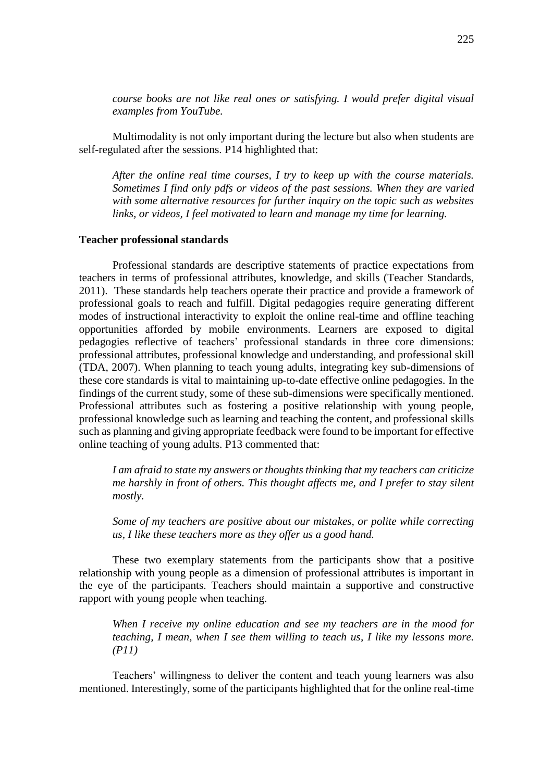*course books are not like real ones or satisfying. I would prefer digital visual examples from YouTube.* 

Multimodality is not only important during the lecture but also when students are self-regulated after the sessions. P14 highlighted that:

*After the online real time courses, I try to keep up with the course materials. Sometimes I find only pdfs or videos of the past sessions. When they are varied with some alternative resources for further inquiry on the topic such as websites links, or videos, I feel motivated to learn and manage my time for learning.*

#### **Teacher professional standards**

Professional standards are descriptive statements of practice expectations from teachers in terms of professional attributes, knowledge, and skills (Teacher Standards, 2011). These standards help teachers operate their practice and provide a framework of professional goals to reach and fulfill. Digital pedagogies require generating different modes of instructional interactivity to exploit the online real-time and offline teaching opportunities afforded by mobile environments. Learners are exposed to digital pedagogies reflective of teachers' professional standards in three core dimensions: professional attributes, professional knowledge and understanding, and professional skill (TDA, 2007). When planning to teach young adults, integrating key sub-dimensions of these core standards is vital to maintaining up-to-date effective online pedagogies. In the findings of the current study, some of these sub-dimensions were specifically mentioned. Professional attributes such as fostering a positive relationship with young people, professional knowledge such as learning and teaching the content, and professional skills such as planning and giving appropriate feedback were found to be important for effective online teaching of young adults. P13 commented that:

*I am afraid to state my answers or thoughts thinking that my teachers can criticize me harshly in front of others. This thought affects me, and I prefer to stay silent mostly.*

*Some of my teachers are positive about our mistakes, or polite while correcting us, I like these teachers more as they offer us a good hand.*

These two exemplary statements from the participants show that a positive relationship with young people as a dimension of professional attributes is important in the eye of the participants. Teachers should maintain a supportive and constructive rapport with young people when teaching.

*When I receive my online education and see my teachers are in the mood for teaching, I mean, when I see them willing to teach us, I like my lessons more. (P11)*

Teachers' willingness to deliver the content and teach young learners was also mentioned. Interestingly, some of the participants highlighted that for the online real-time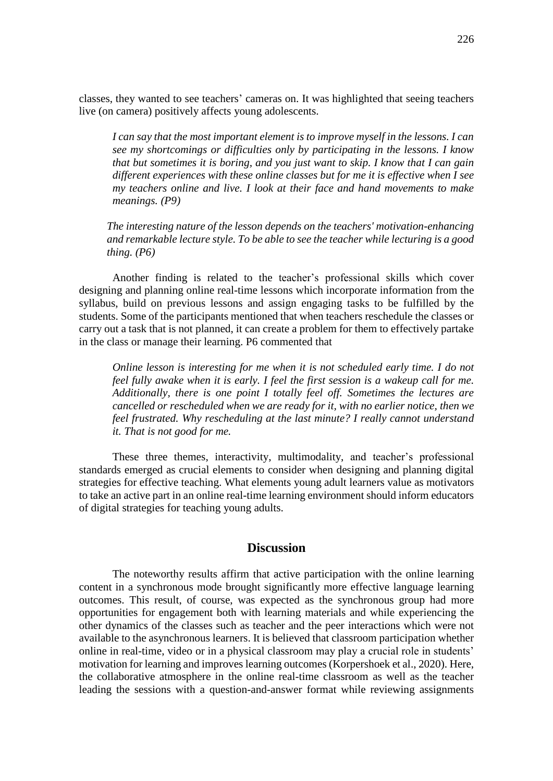classes, they wanted to see teachers' cameras on. It was highlighted that seeing teachers live (on camera) positively affects young adolescents.

*I can say that the most important element is to improve myself in the lessons. I can see my shortcomings or difficulties only by participating in the lessons. I know that but sometimes it is boring, and you just want to skip. I know that I can gain different experiences with these online classes but for me it is effective when I see my teachers online and live. I look at their face and hand movements to make meanings. (P9)*

*The interesting nature of the lesson depends on the teachers' motivation-enhancing and remarkable lecture style. To be able to see the teacher while lecturing is a good thing. (P6)*

Another finding is related to the teacher's professional skills which cover designing and planning online real-time lessons which incorporate information from the syllabus, build on previous lessons and assign engaging tasks to be fulfilled by the students. Some of the participants mentioned that when teachers reschedule the classes or carry out a task that is not planned, it can create a problem for them to effectively partake in the class or manage their learning. P6 commented that

*Online lesson is interesting for me when it is not scheduled early time. I do not feel fully awake when it is early. I feel the first session is a wakeup call for me. Additionally, there is one point I totally feel off. Sometimes the lectures are cancelled or rescheduled when we are ready for it, with no earlier notice, then we feel frustrated. Why rescheduling at the last minute? I really cannot understand it. That is not good for me.*

These three themes, interactivity, multimodality, and teacher's professional standards emerged as crucial elements to consider when designing and planning digital strategies for effective teaching. What elements young adult learners value as motivators to take an active part in an online real-time learning environment should inform educators of digital strategies for teaching young adults.

## **Discussion**

The noteworthy results affirm that active participation with the online learning content in a synchronous mode brought significantly more effective language learning outcomes. This result, of course, was expected as the synchronous group had more opportunities for engagement both with learning materials and while experiencing the other dynamics of the classes such as teacher and the peer interactions which were not available to the asynchronous learners. It is believed that classroom participation whether online in real-time, video or in a physical classroom may play a crucial role in students' motivation for learning and improves learning outcomes (Korpershoek et al., 2020). Here, the collaborative atmosphere in the online real-time classroom as well as the teacher leading the sessions with a question-and-answer format while reviewing assignments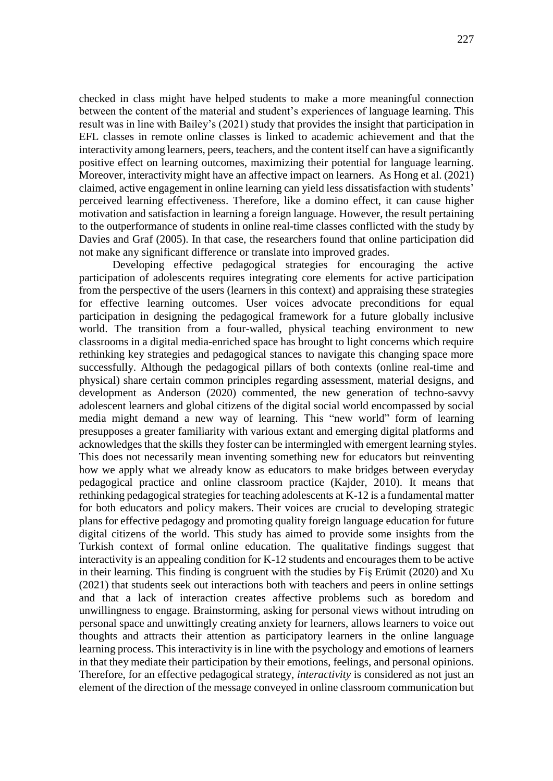checked in class might have helped students to make a more meaningful connection between the content of the material and student's experiences of language learning. This result was in line with Bailey's (2021) study that provides the insight that participation in EFL classes in remote online classes is linked to academic achievement and that the interactivity among learners, peers, teachers, and the content itself can have a significantly positive effect on learning outcomes, maximizing their potential for language learning. Moreover, interactivity might have an affective impact on learners. As Hong et al. (2021) claimed, active engagement in online learning can yield less dissatisfaction with students' perceived learning effectiveness. Therefore, like a domino effect, it can cause higher motivation and satisfaction in learning a foreign language. However, the result pertaining to the outperformance of students in online real-time classes conflicted with the study by Davies and Graf (2005). In that case, the researchers found that online participation did not make any significant difference or translate into improved grades.

Developing effective pedagogical strategies for encouraging the active participation of adolescents requires integrating core elements for active participation from the perspective of the users (learners in this context) and appraising these strategies for effective learning outcomes. User voices advocate preconditions for equal participation in designing the pedagogical framework for a future globally inclusive world. The transition from a four-walled, physical teaching environment to new classrooms in a digital media-enriched space has brought to light concerns which require rethinking key strategies and pedagogical stances to navigate this changing space more successfully. Although the pedagogical pillars of both contexts (online real-time and physical) share certain common principles regarding assessment, material designs, and development as Anderson (2020) commented, the new generation of techno-savvy adolescent learners and global citizens of the digital social world encompassed by social media might demand a new way of learning. This "new world" form of learning presupposes a greater familiarity with various extant and emerging digital platforms and acknowledges that the skills they foster can be intermingled with emergent learning styles. This does not necessarily mean inventing something new for educators but reinventing how we apply what we already know as educators to make bridges between everyday pedagogical practice and online classroom practice (Kajder, 2010). It means that rethinking pedagogical strategies for teaching adolescents at K-12 is a fundamental matter for both educators and policy makers. Their voices are crucial to developing strategic plans for effective pedagogy and promoting quality foreign language education for future digital citizens of the world. This study has aimed to provide some insights from the Turkish context of formal online education. The qualitative findings suggest that interactivity is an appealing condition for K-12 students and encourages them to be active in their learning. This finding is congruent with the studies by Fiş Erümit (2020) and Xu (2021) that students seek out interactions both with teachers and peers in online settings and that a lack of interaction creates affective problems such as boredom and unwillingness to engage. Brainstorming, asking for personal views without intruding on personal space and unwittingly creating anxiety for learners, allows learners to voice out thoughts and attracts their attention as participatory learners in the online language learning process. This interactivity is in line with the psychology and emotions of learners in that they mediate their participation by their emotions, feelings, and personal opinions. Therefore, for an effective pedagogical strategy, *interactivity* is considered as not just an element of the direction of the message conveyed in online classroom communication but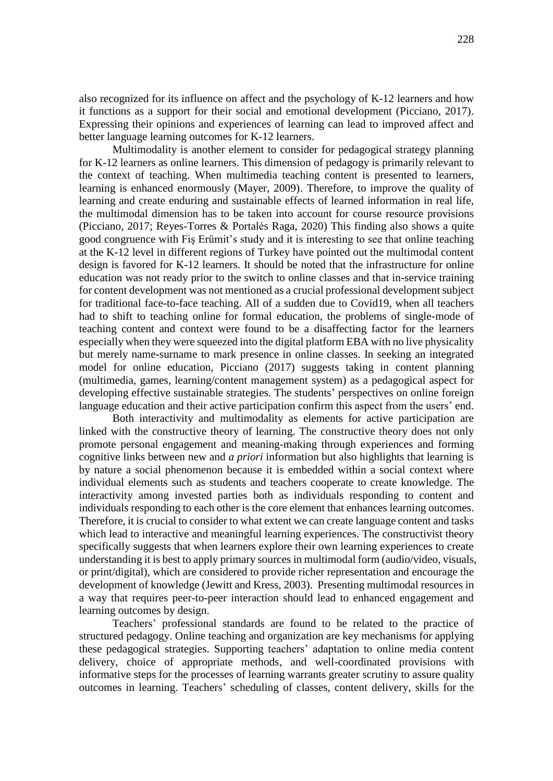also recognized for its influence on affect and the psychology of K-12 learners and how it functions as a support for their social and emotional development (Picciano, 2017). Expressing their opinions and experiences of learning can lead to improved affect and better language learning outcomes for K-12 learners.

Multimodality is another element to consider for pedagogical strategy planning for K-12 learners as online learners. This dimension of pedagogy is primarily relevant to the context of teaching. When multimedia teaching content is presented to learners, learning is enhanced enormously (Mayer, 2009). Therefore, to improve the quality of learning and create enduring and sustainable effects of learned information in real life, the multimodal dimension has to be taken into account for course resource provisions (Picciano, 2017; Reyes-Torres & Portalés Raga, 2020) This finding also shows a quite good congruence with Fiş Erümit's study and it is interesting to see that online teaching at the K-12 level in different regions of Turkey have pointed out the multimodal content design is favored for K-12 learners. It should be noted that the infrastructure for online education was not ready prior to the switch to online classes and that in-service training for content development was not mentioned as a crucial professional development subject for traditional face-to-face teaching. All of a sudden due to Covid19, when all teachers had to shift to teaching online for formal education, the problems of single-mode of teaching content and context were found to be a disaffecting factor for the learners especially when they were squeezed into the digital platform EBA with no live physicality but merely name-surname to mark presence in online classes. In seeking an integrated model for online education, Picciano (2017) suggests taking in content planning (multimedia, games, learning/content management system) as a pedagogical aspect for developing effective sustainable strategies. The students' perspectives on online foreign language education and their active participation confirm this aspect from the users' end.

Both interactivity and multimodality as elements for active participation are linked with the constructive theory of learning. The constructive theory does not only promote personal engagement and meaning-making through experiences and forming cognitive links between new and *a priori* information but also highlights that learning is by nature a social phenomenon because it is embedded within a social context where individual elements such as students and teachers cooperate to create knowledge. The interactivity among invested parties both as individuals responding to content and individuals responding to each other is the core element that enhances learning outcomes. Therefore, it is crucial to consider to what extent we can create language content and tasks which lead to interactive and meaningful learning experiences. The constructivist theory specifically suggests that when learners explore their own learning experiences to create understanding it is best to apply primary sources in multimodal form (audio/video, visuals, or print/digital), which are considered to provide richer representation and encourage the development of knowledge (Jewitt and Kress, 2003). Presenting multimodal resources in a way that requires peer-to-peer interaction should lead to enhanced engagement and learning outcomes by design.

Teachers' professional standards are found to be related to the practice of structured pedagogy. Online teaching and organization are key mechanisms for applying these pedagogical strategies. Supporting teachers' adaptation to online media content delivery, choice of appropriate methods, and well-coordinated provisions with informative steps for the processes of learning warrants greater scrutiny to assure quality outcomes in learning. Teachers' scheduling of classes, content delivery, skills for the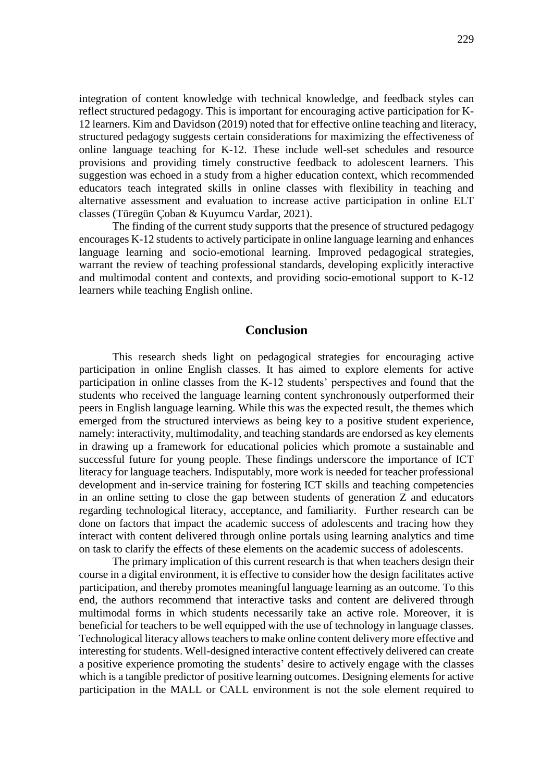integration of content knowledge with technical knowledge, and feedback styles can reflect structured pedagogy. This is important for encouraging active participation for K-12 learners. Kim and Davidson (2019) noted that for effective online teaching and literacy, structured pedagogy suggests certain considerations for maximizing the effectiveness of online language teaching for K-12. These include well-set schedules and resource provisions and providing timely constructive feedback to adolescent learners. This suggestion was echoed in a study from a higher education context, which recommended educators teach integrated skills in online classes with flexibility in teaching and alternative assessment and evaluation to increase active participation in online ELT classes (Türegün Çoban & Kuyumcu Vardar, 2021).

The finding of the current study supports that the presence of structured pedagogy encourages K-12 students to actively participate in online language learning and enhances language learning and socio-emotional learning. Improved pedagogical strategies, warrant the review of teaching professional standards, developing explicitly interactive and multimodal content and contexts, and providing socio-emotional support to K-12 learners while teaching English online.

## **Conclusion**

This research sheds light on pedagogical strategies for encouraging active participation in online English classes. It has aimed to explore elements for active participation in online classes from the K-12 students' perspectives and found that the students who received the language learning content synchronously outperformed their peers in English language learning. While this was the expected result, the themes which emerged from the structured interviews as being key to a positive student experience, namely: interactivity, multimodality, and teaching standards are endorsed as key elements in drawing up a framework for educational policies which promote a sustainable and successful future for young people. These findings underscore the importance of ICT literacy for language teachers. Indisputably, more work is needed for teacher professional development and in-service training for fostering ICT skills and teaching competencies in an online setting to close the gap between students of generation Z and educators regarding technological literacy, acceptance, and familiarity. Further research can be done on factors that impact the academic success of adolescents and tracing how they interact with content delivered through online portals using learning analytics and time on task to clarify the effects of these elements on the academic success of adolescents.

The primary implication of this current research is that when teachers design their course in a digital environment, it is effective to consider how the design facilitates active participation, and thereby promotes meaningful language learning as an outcome. To this end, the authors recommend that interactive tasks and content are delivered through multimodal forms in which students necessarily take an active role. Moreover, it is beneficial for teachers to be well equipped with the use of technology in language classes. Technological literacy allows teachers to make online content delivery more effective and interesting for students. Well-designed interactive content effectively delivered can create a positive experience promoting the students' desire to actively engage with the classes which is a tangible predictor of positive learning outcomes. Designing elements for active participation in the MALL or CALL environment is not the sole element required to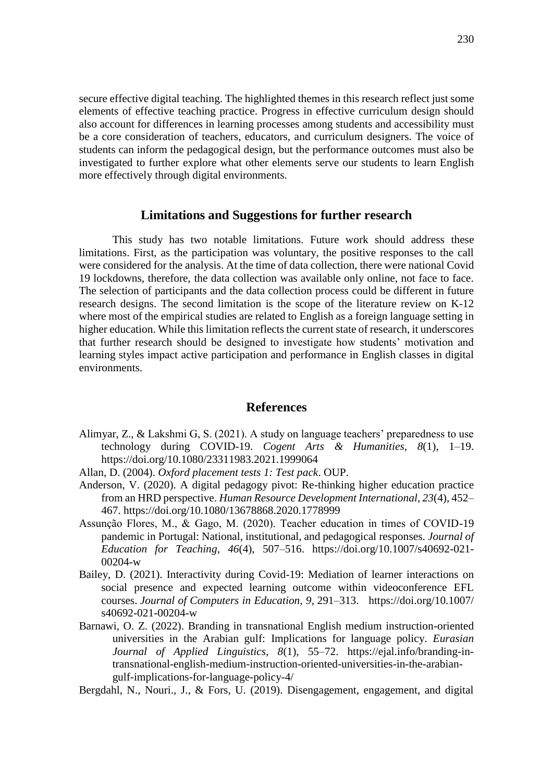secure effective digital teaching. The highlighted themes in this research reflect just some elements of effective teaching practice. Progress in effective curriculum design should also account for differences in learning processes among students and accessibility must be a core consideration of teachers, educators, and curriculum designers. The voice of students can inform the pedagogical design, but the performance outcomes must also be investigated to further explore what other elements serve our students to learn English more effectively through digital environments.

### **Limitations and Suggestions for further research**

This study has two notable limitations. Future work should address these limitations. First, as the participation was voluntary, the positive responses to the call were considered for the analysis. At the time of data collection, there were national Covid 19 lockdowns, therefore, the data collection was available only online, not face to face. The selection of participants and the data collection process could be different in future research designs. The second limitation is the scope of the literature review on K-12 where most of the empirical studies are related to English as a foreign language setting in higher education. While this limitation reflects the current state of research, it underscores that further research should be designed to investigate how students' motivation and learning styles impact active participation and performance in English classes in digital environments.

### **References**

- Alimyar, Z., & Lakshmi G, S. (2021). A study on language teachers' preparedness to use technology during COVID-19. *Cogent Arts & Humanities*, *8*(1), 1–19. <https://doi.org/10.1080/23311983.2021.1999064>
- Allan, D. (2004). *Oxford placement tests 1: Test pack*. OUP.
- Anderson, V. (2020). A digital pedagogy pivot: Re-thinking higher education practice from an HRD perspective. *Human Resource Development International*, *23*(4), 452– 467.<https://doi.org/10.1080/13678868.2020.1778999>
- Assunção Flores, M., & Gago, M. (2020). Teacher education in times of COVID-19 pandemic in Portugal: National, institutional, and pedagogical responses. *Journal of Education for Teaching*, *46*(4), 507–516. [https://doi.org/10.1007/s40692-021-](https://doi.org/10.1007/s40692-021-00204-w) [00204-w](https://doi.org/10.1007/s40692-021-00204-w)
- Bailey, D. (2021). Interactivity during Covid-19: Mediation of learner interactions on social presence and expected learning outcome within videoconference EFL courses. *Journal of Computers in Education, 9*, 291–313. [https://doi.org/10.1007/](https://doi.org/10.1007/%20s40692-021-00204-w)  [s40692-021-00204-w](https://doi.org/10.1007/%20s40692-021-00204-w)
- Barnawi, O. Z. (2022). Branding in transnational English medium instruction-oriented universities in the Arabian gulf: Implications for language policy. *Eurasian Journal of Applied Linguistics, 8*(1), 55–72. [https://ejal.info/branding-in](https://ejal.info/menuscript/index.php/ejal/article/view/126/22)[transnational-english-medium-instruction-oriented-universities-in-the-arabian](https://ejal.info/menuscript/index.php/ejal/article/view/126/22)[gulf-implications-for-language-policy-4/](https://ejal.info/menuscript/index.php/ejal/article/view/126/22)
- Bergdahl, N., Nouri., J., & Fors, U. (2019). Disengagement, engagement, and digital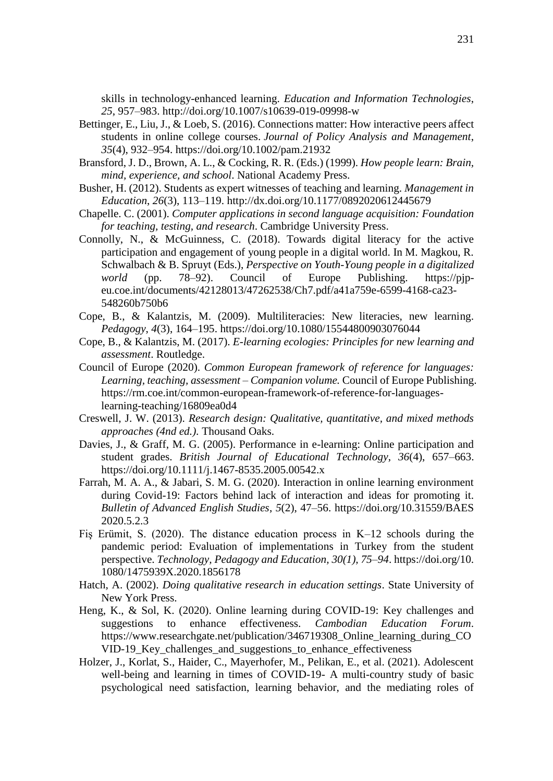skills in technology-enhanced learning. *Education and Information Technologies*, *25*, 957–983.<http://doi.org/10.1007/s10639-019-09998-w>

- Bettinger, E., Liu, J., & Loeb, S. (2016). Connections matter: How interactive peers affect students in online college courses. *Journal of Policy Analysis and Management*, *35*(4), 932–954.<https://doi.org/10.1002/pam.21932>
- Bransford, J. D., Brown, A. L., & Cocking, R. R. (Eds.) (1999). *How people learn: Brain, mind, experience, and school*. National Academy Press.
- Busher, H. (2012). Students as expert witnesses of teaching and learning. *Management in Education*, *26*(3), 113–119.<http://dx.doi.org/10.1177/0892020612445679>
- Chapelle. C. (2001). *Computer applications in second language acquisition: Foundation for teaching, testing, and research*. Cambridge University Press.
- Connolly, N., & McGuinness, C. (2018). Towards digital literacy for the active participation and engagement of young people in a digital world. In M. Magkou, R. Schwalbach & B. Spruyt (Eds.), *Perspective on Youth-Young people in a digitalized world* (pp. 78–92). Council of Europe Publishing. [https://pjp](https://pjp-eu.coe.int/documents/42128013/47262538/Ch7.pdf/a41a759e-6599-4168-ca23-548260b750b6)[eu.coe.int/documents/42128013/47262538/Ch7.pdf/a41a759e-6599-4168-ca23-](https://pjp-eu.coe.int/documents/42128013/47262538/Ch7.pdf/a41a759e-6599-4168-ca23-548260b750b6) [548260b750b6](https://pjp-eu.coe.int/documents/42128013/47262538/Ch7.pdf/a41a759e-6599-4168-ca23-548260b750b6)
- Cope, B., & Kalantzis, M. (2009). Multiliteracies: New literacies, new learning. *Pedagogy*, *4*(3), 164–195. <https://doi.org/10.1080/15544800903076044>
- Cope, B., & Kalantzis, M. (2017). *E-learning ecologies: Principles for new learning and assessment*. Routledge.
- Council of Europe (2020). *Common European framework of reference for languages: Learning, teaching, assessment – Companion volume.* Council of Europe Publishing. [https://rm.coe.int/common-european-framework-of-reference-for-languages](https://rm.coe.int/common-european-framework-of-reference-for-languages-learning-teaching/16809ea0d4)[learning-teaching/16809ea0d4](https://rm.coe.int/common-european-framework-of-reference-for-languages-learning-teaching/16809ea0d4)
- Creswell, J. W. (2013). *Research design: Qualitative, quantitative, and mixed methods approaches (4nd ed.).* Thousand Oaks.
- Davies, J., & Graff, M. G. (2005). Performance in e-learning: Online participation and student grades. *British Journal of Educational Technology*, *36*(4), 657–663. <https://doi.org/10.1111/j.1467-8535.2005.00542.x>
- Farrah, M. A. A., & Jabari, S. M. G. (2020). Interaction in online learning environment during Covid-19: Factors behind lack of interaction and ideas for promoting it. *Bulletin of Advanced English Studies*, *5*(2), 47–56. https://doi.org/10.31559/BAES 2020.5.2.3
- Fiş Erümit, S. (2020). The distance education process in K–12 schools during the pandemic period: Evaluation of implementations in Turkey from the student perspective. *Technology, Pedagogy and Education, 30(1), 75*–*94*. https://doi.org/10. 1080/1475939X.2020.1856178
- Hatch, A. (2002). *Doing qualitative research in education settings*. State University of New York Press.
- Heng, K., & Sol, K. (2020). Online learning during COVID-19: Key challenges and suggestions to enhance effectiveness. *Cambodian Education Forum*. https://www.researchgate.net/publication/346719308\_Online\_learning\_during\_CO VID-19 Key challenges and suggestions to enhance effectiveness
- Holzer, J., Korlat, S., Haider, C., Mayerhofer, M., Pelikan, E., et al. (2021). Adolescent well-being and learning in times of COVID-19- A multi-country study of basic psychological need satisfaction, learning behavior, and the mediating roles of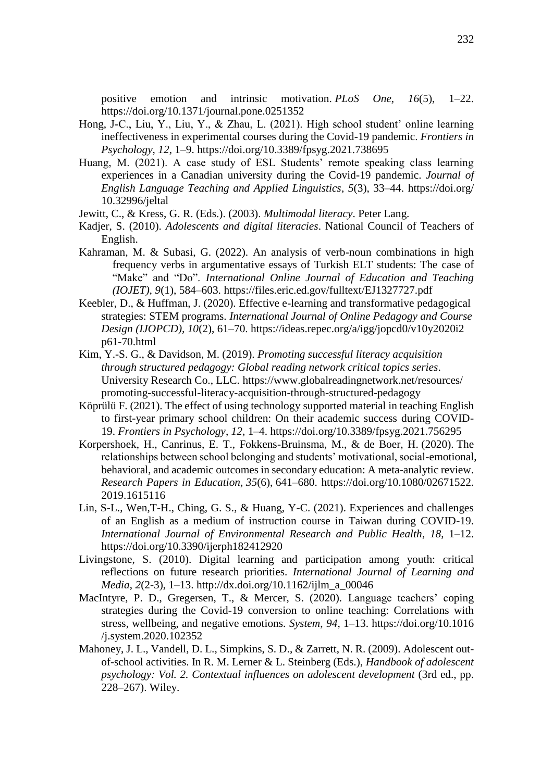positive emotion and intrinsic motivation. *PLoS One*, *16*(5), 1–22. <https://doi.org/10.1371/journal.pone.0251352>

- Hong, J-C., Liu, Y., Liu, Y., & Zhau, L. (2021). High school student' online learning ineffectiveness in experimental courses during the Covid-19 pandemic. *Frontiers in Psychology*, *12*, 1–9.<https://doi.org/10.3389/fpsyg.2021.738695>
- Huang, M. (2021). A case study of ESL Students' remote speaking class learning experiences in a Canadian university during the Covid-19 pandemic. *Journal of English Language Teaching and Applied Linguistics*, *5*(3), 33–44. [https://doi.org/](https://doi.org/%2010.32996/jeltal)  [10.32996/jeltal](https://doi.org/%2010.32996/jeltal)
- Jewitt, C., & Kress, G. R. (Eds.). (2003). *Multimodal literacy*. Peter Lang.
- Kadjer, S. (2010). *Adolescents and digital literacies*. National Council of Teachers of English.
- Kahraman, M. & Subasi, G. (2022). An analysis of verb-noun combinations in high frequency verbs in argumentative essays of Turkish ELT students: The case of "Make" and "Do". *International Online Journal of Education and Teaching (IOJET), 9*(1), 584–603. https://files.eric.ed.gov/fulltext/EJ1327727.pdf
- Keebler, D., & Huffman, J. (2020). Effective e-learning and transformative pedagogical strategies: STEM programs. *International Journal of Online Pedagogy and Course Design (IJOPCD), 10*(2), 61–70. https://ideas.repec.org/a/igg/jopcd0/v10y2020i2 p61-70.html
- Kim, Y.-S. G., & Davidson, M. (2019). *Promoting successful literacy acquisition through structured pedagogy: Global reading network critical topics series*. University Research Co., LLC. https://www.globalreadingnetwork.net/resources/ promoting-successful-literacy-acquisition-through-structured-pedagogy
- Köprülü F. (2021). The effect of using technology supported material in teaching English to first-year primary school children: On their academic success during COVID-19. *Frontiers in Psychology*, *12*, 1–4.<https://doi.org/10.3389/fpsyg.2021.756295>
- Korpershoek, H., Canrinus, E. T., Fokkens-Bruinsma, M., & de Boer, H. (2020). The relationships between school belonging and students' motivational, social-emotional, behavioral, and academic outcomes in secondary education: A meta-analytic review. *Research Papers in Education*, *35*(6), 641–680. https://doi.org/10.1080/02671522. 2019.1615116
- Lin, S-L., Wen,T-H., Ching, G. S., & Huang, Y-C. (2021). Experiences and challenges of an English as a medium of instruction course in Taiwan during COVID-19. *International Journal of Environmental Research and Public Health*, *18*, 1–12. <https://doi.org/10.3390/ijerph182412920>
- Livingstone, S. (2010). Digital learning and participation among youth: critical reflections on future research priorities. *International Journal of Learning and Media*, *2*(2-3), 1–13. [http://dx.doi.org/10.1162/ijlm\\_a\\_00046](http://dx.doi.org/10.1162/ijlm_a_00046)
- MacIntyre, P. D., Gregersen, T., & Mercer, S. (2020). Language teachers' coping strategies during the Covid-19 conversion to online teaching: Correlations with stress, wellbeing, and negative emotions. *System*, *94*, 1–13. https://doi.org/10.1016 /j.system.2020.102352
- Mahoney, J. L., Vandell, D. L., Simpkins, S. D., & Zarrett, N. R. (2009). Adolescent outof-school activities. In R. M. Lerner & L. Steinberg (Eds.), *Handbook of adolescent psychology: Vol. 2. Contextual influences on adolescent development* (3rd ed., pp. 228–267). Wiley.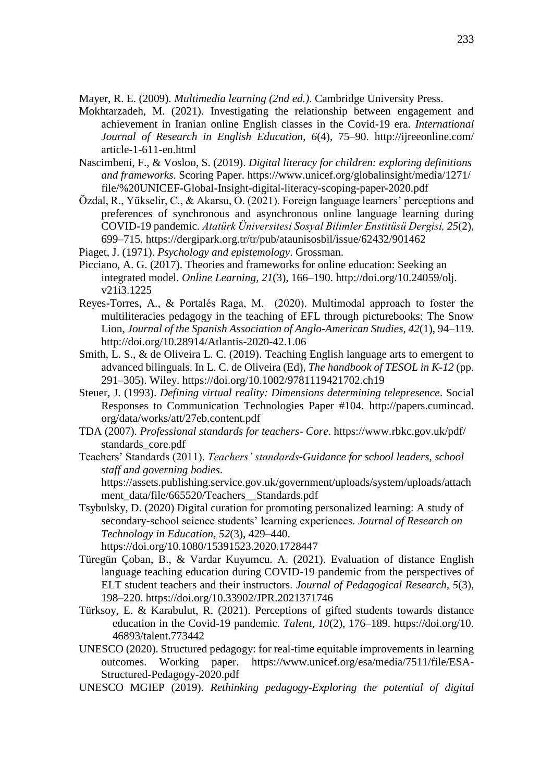Mayer, R. E. (2009). *Multimedia learning (2nd ed.)*. Cambridge University Press.

- Mokhtarzadeh, M. (2021). Investigating the relationship between engagement and achievement in Iranian online English classes in the Covid-19 era. *International Journal of Research in English Education*, *6*(4), 75–90. http://ijreeonline.com/ article-1-611-en.html
- Nascimbeni, F., & Vosloo, S. (2019). *Digital literacy for children: exploring definitions and frameworks*. Scoring Paper. https://www.unicef.org/globalinsight/media/1271/ file/%20UNICEF-Global-Insight-digital-literacy-scoping-paper-2020.pdf
- Özdal, R., Yükselir, C., & Akarsu, O. (2021). Foreign language learners' perceptions and preferences of synchronous and asynchronous online language learning during COVID-19 pandemic. *Atatürk Üniversitesi Sosyal Bilimler Enstitüsü Dergisi, 25*(2), 699–715. https://dergipark.org.tr/tr/pub/ataunisosbil/issue/62432/901462
- Piaget, J. (1971). *Psychology and epistemology*. Grossman.
- Picciano, A. G. (2017). Theories and frameworks for online education: Seeking an integrated model. *Online Learning*, *21*(3), 166–190. [http://doi.org/10.24059/olj.](http://doi.org/10.24059/olj.%20v21i3.1225)  [v21i3.1225](http://doi.org/10.24059/olj.%20v21i3.1225)
- Reyes-Torres, A., & Portalés Raga, M. (2020). Multimodal approach to foster the multiliteracies pedagogy in the teaching of EFL through picturebooks: The Snow Lion, *Journal of the Spanish Association of Anglo-American Studies*, *42*(1), 94–119. <http://doi.org/10.28914/Atlantis-2020-42.1.06>
- Smith, L. S., & de Oliveira L. C. (2019). Teaching English language arts to emergent to advanced bilinguals. In L. C. de Oliveira (Ed), *The handbook of TESOL in K-12* (pp. 291–305). Wiley.<https://doi.org/10.1002/9781119421702.ch19>
- Steuer, J. (1993). *Defining virtual reality: Dimensions determining telepresence*. Social Responses to Communication Technologies Paper #104. http://papers.cumincad. org/data/works/att/27eb.content.pdf
- TDA (2007). *Professional standards for teachers- Core*. https://www.rbkc.gov.uk/pdf/ standards\_core.pdf
- Teachers' Standards (2011). *Teachers' standards-Guidance for school leaders, school staff and governing bodies*.

[https://assets.publishing.service.gov.uk/government/uploads/system/uploads/attach](https://assets.publishing.service.gov.uk/government/uploads/system/uploads/attachment_data/file/665520/Teachers__Standards.pdf) ment\_data/file/665520/Teachers\_Standards.pdf

- Tsybulsky, D. (2020) Digital curation for promoting personalized learning: A study of secondary-school science students' learning experiences. *Journal of Research on Technology in Education*, *52*(3), 429–440. <https://doi.org/10.1080/15391523.2020.1728447>
- Türegün Çoban, B., & Vardar Kuyumcu. A. (2021). Evaluation of distance English language teaching education during COVID-19 pandemic from the perspectives of ELT student teachers and their instructors. *Journal of Pedagogical Research, 5*(3), 198–220.<https://doi.org/10.33902/JPR.2021371746>
- Türksoy, E. & Karabulut, R. (2021). Perceptions of gifted students towards distance education in the Covid-19 pandemic. *Talent, 10*(2), 176–189. https://doi.org/10. 46893/talent.773442
- UNESCO (2020). Structured pedagogy: for real-time equitable improvements in learning outcomes. Working paper. https://www.unicef.org/esa/media/7511/file/ESA-Structured-Pedagogy-2020.pdf
- UNESCO MGIEP (2019). *Rethinking pedagogy-Exploring the potential of digital*